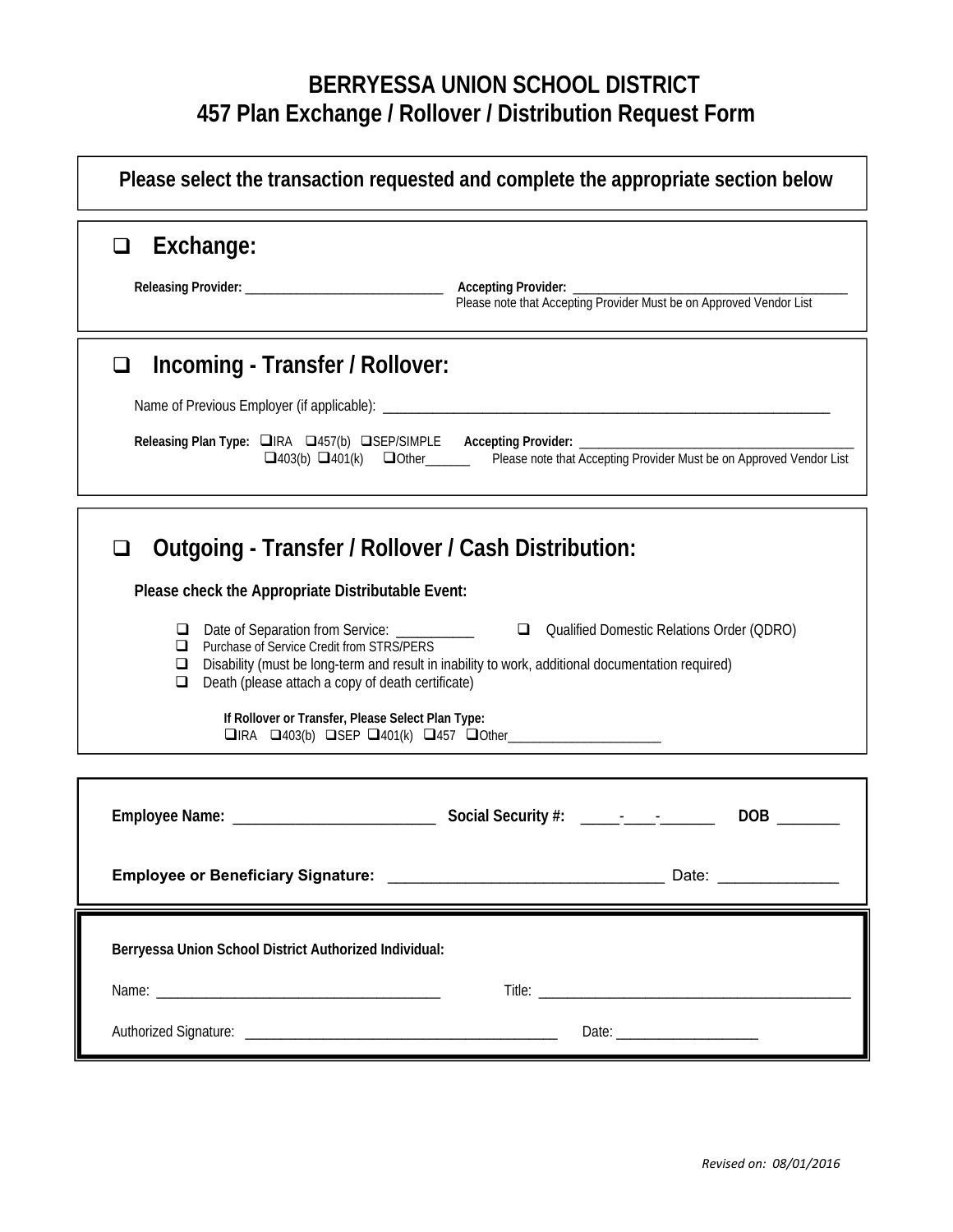## **BERRYESSA UNION SCHOOL DISTRICT 457 Plan Exchange / Rollover / Distribution Request Form**

| Please select the transaction requested and complete the appropriate section below                                                                                                                                                                                                                                                                                                                                                                                                                                                                                                                     |
|--------------------------------------------------------------------------------------------------------------------------------------------------------------------------------------------------------------------------------------------------------------------------------------------------------------------------------------------------------------------------------------------------------------------------------------------------------------------------------------------------------------------------------------------------------------------------------------------------------|
| Exchange:<br>❏                                                                                                                                                                                                                                                                                                                                                                                                                                                                                                                                                                                         |
| Incoming - Transfer / Rollover:<br>❏<br>Releasing Plan Type: IRA 0457(b) OSEP/SIMPLE Accepting Provider: __________<br>$\Box$ 403(b) $\Box$ 401(k) $\Box$ Other Please note that Accepting Provider Must be on Approved Vendor List                                                                                                                                                                                                                                                                                                                                                                    |
| Outgoing - Transfer / Rollover / Cash Distribution:<br>$\Box$<br>Please check the Appropriate Distributable Event:<br>Date of Separation from Service: ___________<br>Qualified Domestic Relations Order (QDRO)<br>u<br>Purchase of Service Credit from STRS/PERS<br>⊔<br>Disability (must be long-term and result in inability to work, additional documentation required)<br>⊔<br>Death (please attach a copy of death certificate)<br>⊔<br>If Rollover or Transfer, Please Select Plan Type:<br>$\Box$ IRA $\Box$ 403(b) $\Box$ SEP $\Box$ 401(k) $\Box$ 457 $\Box$ Other__________________________ |
| Date: _______________                                                                                                                                                                                                                                                                                                                                                                                                                                                                                                                                                                                  |
| Berryessa Union School District Authorized Individual:                                                                                                                                                                                                                                                                                                                                                                                                                                                                                                                                                 |